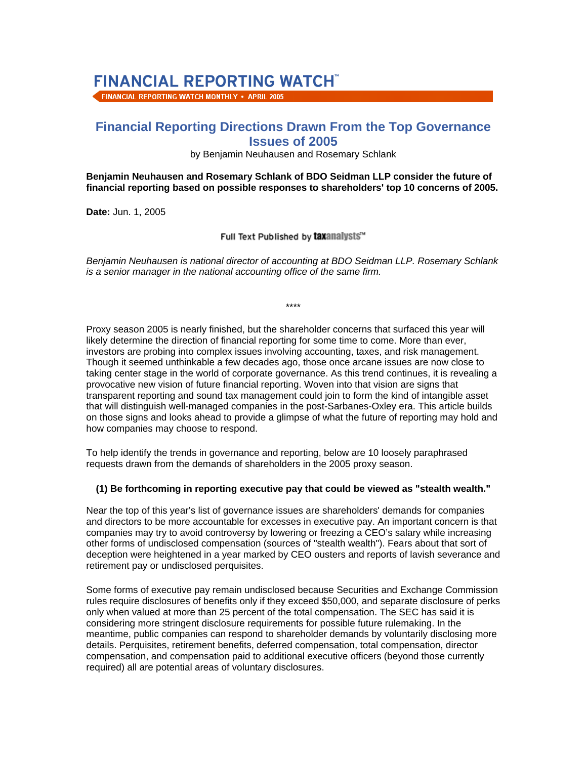# **FINANCIAL REPORTING WATCHT**

FINANCIAL REPORTING WATCH MONTHLY . APRIL 2005

# **Financial Reporting Directions Drawn From the Top Governance Issues of 2005**

#### by Benjamin Neuhausen and Rosemary Schlank

**Benjamin Neuhausen and Rosemary Schlank of BDO Seidman LLP consider the future of financial reporting based on possible responses to shareholders' top 10 concerns of 2005.** 

**Date:** Jun. 1, 2005

Full Text Published by taxanalysts"

*Benjamin Neuhausen is national director of accounting at BDO Seidman LLP. Rosemary Schlank is a senior manager in the national accounting office of the same firm.*

\*\*\*\*

Proxy season 2005 is nearly finished, but the shareholder concerns that surfaced this year will likely determine the direction of financial reporting for some time to come. More than ever, investors are probing into complex issues involving accounting, taxes, and risk management. Though it seemed unthinkable a few decades ago, those once arcane issues are now close to taking center stage in the world of corporate governance. As this trend continues, it is revealing a provocative new vision of future financial reporting. Woven into that vision are signs that transparent reporting and sound tax management could join to form the kind of intangible asset that will distinguish well-managed companies in the post-Sarbanes-Oxley era. This article builds on those signs and looks ahead to provide a glimpse of what the future of reporting may hold and how companies may choose to respond.

To help identify the trends in governance and reporting, below are 10 loosely paraphrased requests drawn from the demands of shareholders in the 2005 proxy season.

#### **(1) Be forthcoming in reporting executive pay that could be viewed as "stealth wealth."**

Near the top of this year's list of governance issues are shareholders' demands for companies and directors to be more accountable for excesses in executive pay. An important concern is that companies may try to avoid controversy by lowering or freezing a CEO's salary while increasing other forms of undisclosed compensation (sources of "stealth wealth"). Fears about that sort of deception were heightened in a year marked by CEO ousters and reports of lavish severance and retirement pay or undisclosed perquisites.

Some forms of executive pay remain undisclosed because Securities and Exchange Commission rules require disclosures of benefits only if they exceed \$50,000, and separate disclosure of perks only when valued at more than 25 percent of the total compensation. The SEC has said it is considering more stringent disclosure requirements for possible future rulemaking. In the meantime, public companies can respond to shareholder demands by voluntarily disclosing more details. Perquisites, retirement benefits, deferred compensation, total compensation, director compensation, and compensation paid to additional executive officers (beyond those currently required) all are potential areas of voluntary disclosures.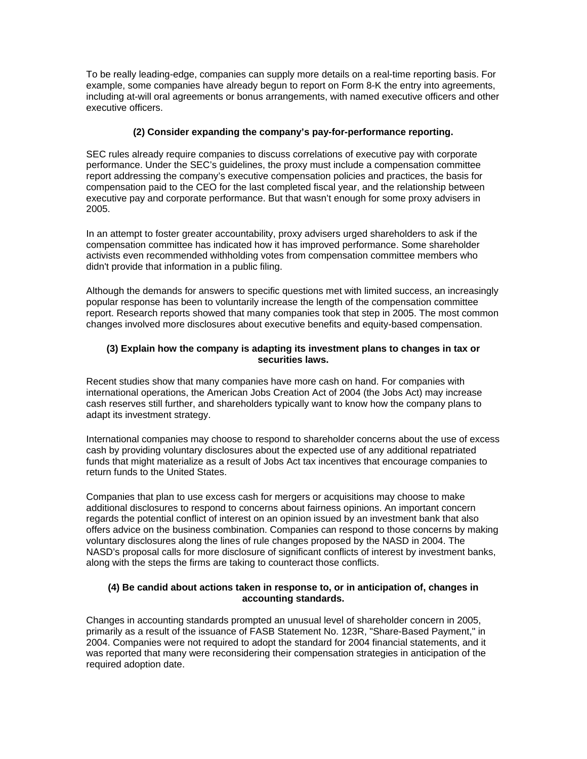To be really leading-edge, companies can supply more details on a real-time reporting basis. For example, some companies have already begun to report on Form 8-K the entry into agreements, including at-will oral agreements or bonus arrangements, with named executive officers and other executive officers.

# **(2) Consider expanding the company's pay-for-performance reporting.**

SEC rules already require companies to discuss correlations of executive pay with corporate performance. Under the SEC's guidelines, the proxy must include a compensation committee report addressing the company's executive compensation policies and practices, the basis for compensation paid to the CEO for the last completed fiscal year, and the relationship between executive pay and corporate performance. But that wasn't enough for some proxy advisers in 2005.

In an attempt to foster greater accountability, proxy advisers urged shareholders to ask if the compensation committee has indicated how it has improved performance. Some shareholder activists even recommended withholding votes from compensation committee members who didn't provide that information in a public filing.

Although the demands for answers to specific questions met with limited success, an increasingly popular response has been to voluntarily increase the length of the compensation committee report. Research reports showed that many companies took that step in 2005. The most common changes involved more disclosures about executive benefits and equity-based compensation.

#### **(3) Explain how the company is adapting its investment plans to changes in tax or securities laws.**

Recent studies show that many companies have more cash on hand. For companies with international operations, the American Jobs Creation Act of 2004 (the Jobs Act) may increase cash reserves still further, and shareholders typically want to know how the company plans to adapt its investment strategy.

International companies may choose to respond to shareholder concerns about the use of excess cash by providing voluntary disclosures about the expected use of any additional repatriated funds that might materialize as a result of Jobs Act tax incentives that encourage companies to return funds to the United States.

Companies that plan to use excess cash for mergers or acquisitions may choose to make additional disclosures to respond to concerns about fairness opinions. An important concern regards the potential conflict of interest on an opinion issued by an investment bank that also offers advice on the business combination. Companies can respond to those concerns by making voluntary disclosures along the lines of rule changes proposed by the NASD in 2004. The NASD's proposal calls for more disclosure of significant conflicts of interest by investment banks, along with the steps the firms are taking to counteract those conflicts.

#### **(4) Be candid about actions taken in response to, or in anticipation of, changes in accounting standards.**

Changes in accounting standards prompted an unusual level of shareholder concern in 2005, primarily as a result of the issuance of FASB Statement No. 123R, "Share-Based Payment," in 2004. Companies were not required to adopt the standard for 2004 financial statements, and it was reported that many were reconsidering their compensation strategies in anticipation of the required adoption date.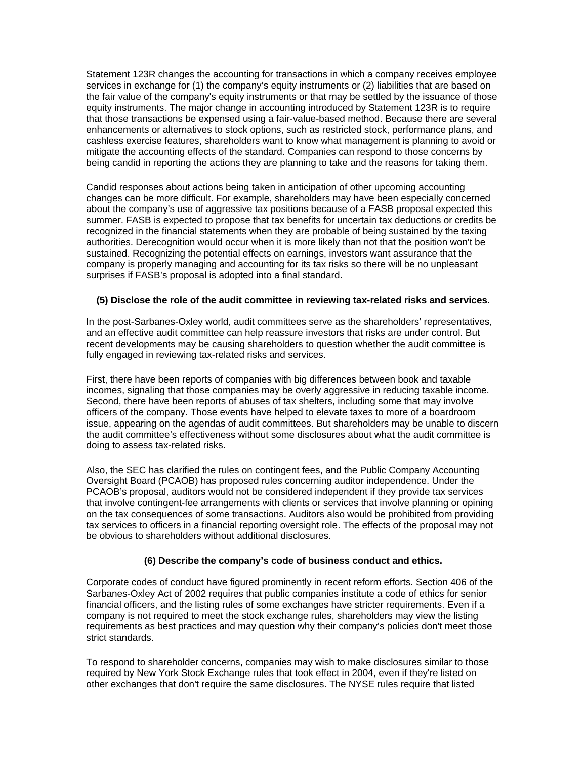Statement 123R changes the accounting for transactions in which a company receives employee services in exchange for (1) the company's equity instruments or (2) liabilities that are based on the fair value of the company's equity instruments or that may be settled by the issuance of those equity instruments. The major change in accounting introduced by Statement 123R is to require that those transactions be expensed using a fair-value-based method. Because there are several enhancements or alternatives to stock options, such as restricted stock, performance plans, and cashless exercise features, shareholders want to know what management is planning to avoid or mitigate the accounting effects of the standard. Companies can respond to those concerns by being candid in reporting the actions they are planning to take and the reasons for taking them.

Candid responses about actions being taken in anticipation of other upcoming accounting changes can be more difficult. For example, shareholders may have been especially concerned about the company's use of aggressive tax positions because of a FASB proposal expected this summer. FASB is expected to propose that tax benefits for uncertain tax deductions or credits be recognized in the financial statements when they are probable of being sustained by the taxing authorities. Derecognition would occur when it is more likely than not that the position won't be sustained. Recognizing the potential effects on earnings, investors want assurance that the company is properly managing and accounting for its tax risks so there will be no unpleasant surprises if FASB's proposal is adopted into a final standard.

#### **(5) Disclose the role of the audit committee in reviewing tax-related risks and services.**

In the post-Sarbanes-Oxley world, audit committees serve as the shareholders' representatives, and an effective audit committee can help reassure investors that risks are under control. But recent developments may be causing shareholders to question whether the audit committee is fully engaged in reviewing tax-related risks and services.

First, there have been reports of companies with big differences between book and taxable incomes, signaling that those companies may be overly aggressive in reducing taxable income. Second, there have been reports of abuses of tax shelters, including some that may involve officers of the company. Those events have helped to elevate taxes to more of a boardroom issue, appearing on the agendas of audit committees. But shareholders may be unable to discern the audit committee's effectiveness without some disclosures about what the audit committee is doing to assess tax-related risks.

Also, the SEC has clarified the rules on contingent fees, and the Public Company Accounting Oversight Board (PCAOB) has proposed rules concerning auditor independence. Under the PCAOB's proposal, auditors would not be considered independent if they provide tax services that involve contingent-fee arrangements with clients or services that involve planning or opining on the tax consequences of some transactions. Auditors also would be prohibited from providing tax services to officers in a financial reporting oversight role. The effects of the proposal may not be obvious to shareholders without additional disclosures.

#### **(6) Describe the company's code of business conduct and ethics.**

Corporate codes of conduct have figured prominently in recent reform efforts. Section 406 of the Sarbanes-Oxley Act of 2002 requires that public companies institute a code of ethics for senior financial officers, and the listing rules of some exchanges have stricter requirements. Even if a company is not required to meet the stock exchange rules, shareholders may view the listing requirements as best practices and may question why their company's policies don't meet those strict standards.

To respond to shareholder concerns, companies may wish to make disclosures similar to those required by New York Stock Exchange rules that took effect in 2004, even if they're listed on other exchanges that don't require the same disclosures. The NYSE rules require that listed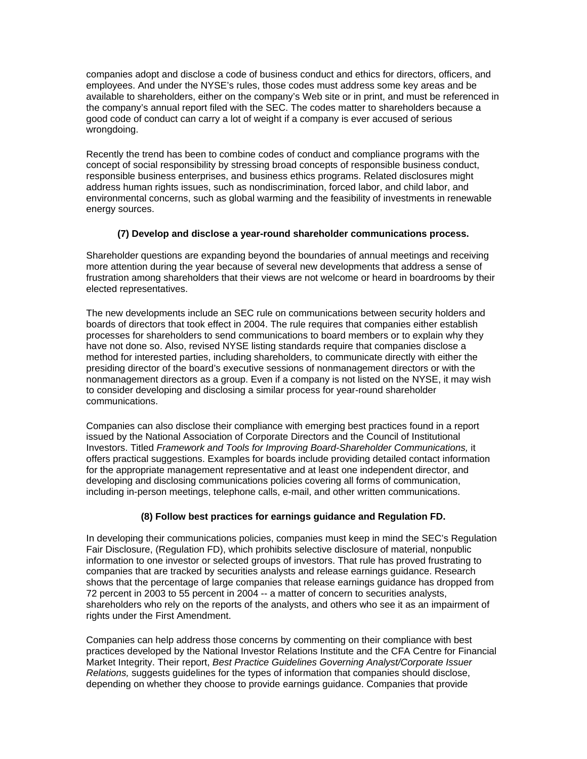companies adopt and disclose a code of business conduct and ethics for directors, officers, and employees. And under the NYSE's rules, those codes must address some key areas and be available to shareholders, either on the company's Web site or in print, and must be referenced in the company's annual report filed with the SEC. The codes matter to shareholders because a good code of conduct can carry a lot of weight if a company is ever accused of serious wrongdoing.

Recently the trend has been to combine codes of conduct and compliance programs with the concept of social responsibility by stressing broad concepts of responsible business conduct, responsible business enterprises, and business ethics programs. Related disclosures might address human rights issues, such as nondiscrimination, forced labor, and child labor, and environmental concerns, such as global warming and the feasibility of investments in renewable energy sources.

# **(7) Develop and disclose a year-round shareholder communications process.**

Shareholder questions are expanding beyond the boundaries of annual meetings and receiving more attention during the year because of several new developments that address a sense of frustration among shareholders that their views are not welcome or heard in boardrooms by their elected representatives.

The new developments include an SEC rule on communications between security holders and boards of directors that took effect in 2004. The rule requires that companies either establish processes for shareholders to send communications to board members or to explain why they have not done so. Also, revised NYSE listing standards require that companies disclose a method for interested parties, including shareholders, to communicate directly with either the presiding director of the board's executive sessions of nonmanagement directors or with the nonmanagement directors as a group. Even if a company is not listed on the NYSE, it may wish to consider developing and disclosing a similar process for year-round shareholder communications.

Companies can also disclose their compliance with emerging best practices found in a report issued by the National Association of Corporate Directors and the Council of Institutional Investors. Titled *Framework and Tools for Improving Board-Shareholder Communications,* it offers practical suggestions. Examples for boards include providing detailed contact information for the appropriate management representative and at least one independent director, and developing and disclosing communications policies covering all forms of communication, including in-person meetings, telephone calls, e-mail, and other written communications.

# **(8) Follow best practices for earnings guidance and Regulation FD.**

In developing their communications policies, companies must keep in mind the SEC's Regulation Fair Disclosure, (Regulation FD), which prohibits selective disclosure of material, nonpublic information to one investor or selected groups of investors. That rule has proved frustrating to companies that are tracked by securities analysts and release earnings guidance. Research shows that the percentage of large companies that release earnings guidance has dropped from 72 percent in 2003 to 55 percent in 2004 -- a matter of concern to securities analysts, shareholders who rely on the reports of the analysts, and others who see it as an impairment of rights under the First Amendment.

Companies can help address those concerns by commenting on their compliance with best practices developed by the National Investor Relations Institute and the CFA Centre for Financial Market Integrity. Their report, *Best Practice Guidelines Governing Analyst/Corporate Issuer Relations,* suggests guidelines for the types of information that companies should disclose, depending on whether they choose to provide earnings guidance. Companies that provide